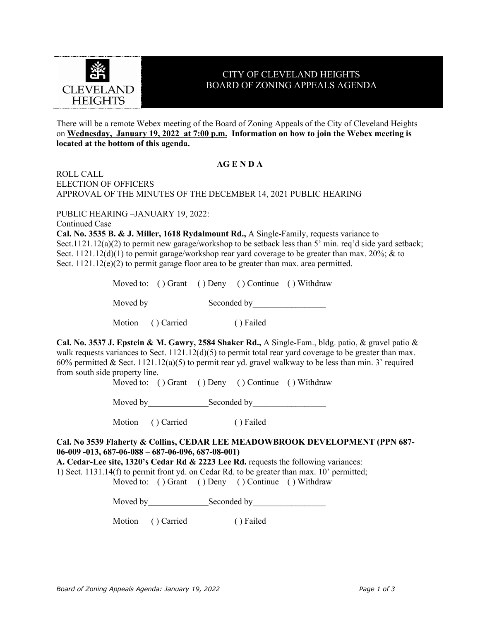

## CITY OF CLEVELAND HEIGHTS BOARD OF ZONING APPEALS AGENDA

There will be a remote Webex meeting of the Board of Zoning Appeals of the City of Cleveland Heights on **Wednesday, January 19, 2022 at 7:00 p.m. Information on how to join the Webex meeting is located at the bottom of this agenda.**

## **AG E N D A**

ROLL CALL ELECTION OF OFFICERS APPROVAL OF THE MINUTES OF THE DECEMBER 14, 2021 PUBLIC HEARING

PUBLIC HEARING –JANUARY 19, 2022:

Continued Case

**Cal. No. 3535 B. & J. Miller, 1618 Rydalmount Rd.,** A Single-Family, requests variance to Sect.1121.12(a)(2) to permit new garage/workshop to be setback less than 5' min. req'd side yard setback; Sect.  $1121.12(d)(1)$  to permit garage/workshop rear yard coverage to be greater than max.  $20\%$ ; & to Sect.  $1121.12(e)(2)$  to permit garage floor area to be greater than max. area permitted.

Moved to: ( ) Grant ( ) Deny ( ) Continue ( ) Withdraw

Moved by Seconded by

Motion ( ) Carried ( ) Failed

**Cal. No. 3537 J. Epstein & M. Gawry, 2584 Shaker Rd.,** A Single-Fam., bldg. patio, & gravel patio & walk requests variances to Sect.  $1121.12(d)(5)$  to permit total rear yard coverage to be greater than max. 60% permitted & Sect.  $1121.12(a)(5)$  to permit rear yd. gravel walkway to be less than min. 3' required from south side property line.

Moved to: ( ) Grant ( ) Deny ( ) Continue ( ) Withdraw

Moved by Seconded by Seconded by Seconded by Seconded by Seconded by Seconded by Seconded by Seconded by Seconded by Seconded by Seconded by Seconded by Seconded by Seconded by Seconded by Seconded by Seconded by Seconded

Motion ( ) Carried ( ) Failed

**Cal. No 3539 Flaherty & Collins, CEDAR LEE MEADOWBROOK DEVELOPMENT (PPN 687- 06-009 -013, 687-06-088 – 687-06-096, 687-08-001)**

**A. Cedar-Lee site, 1320's Cedar Rd & 2223 Lee Rd.** requests the following variances:

1) Sect. 1131.14(f) to permit front yd. on Cedar Rd. to be greater than max. 10' permitted;

Moved to: ( ) Grant ( ) Deny ( ) Continue ( ) Withdraw

Moved by Seconded by Seconded by

Motion ( ) Carried ( ) Failed

*Board of Zoning Appeals Agenda: January 19, 2022 Page 1 of 3*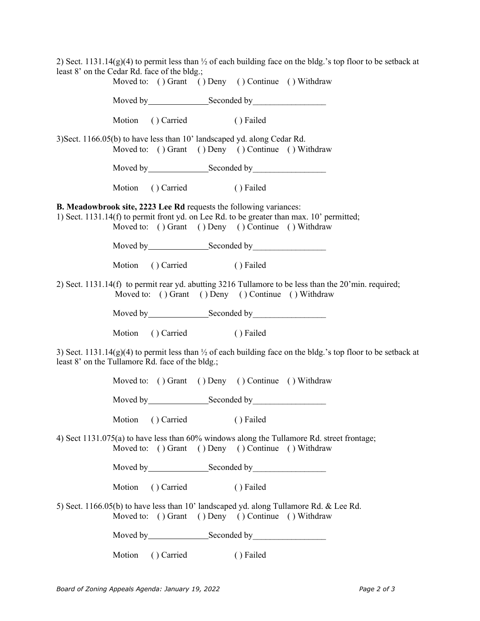| 2) Sect. 1131.14(g)(4) to permit less than $\frac{1}{2}$ of each building face on the bldg.'s top floor to be setback at<br>least 8' on the Cedar Rd. face of the bldg.;                                                     |                                                    |  |           |  |
|------------------------------------------------------------------------------------------------------------------------------------------------------------------------------------------------------------------------------|----------------------------------------------------|--|-----------|--|
|                                                                                                                                                                                                                              | Moved to: () Grant () Deny () Continue () Withdraw |  |           |  |
|                                                                                                                                                                                                                              |                                                    |  |           |  |
|                                                                                                                                                                                                                              | Motion () Carried () Failed                        |  |           |  |
| 3) Sect. 1166.05(b) to have less than 10' landscaped yd. along Cedar Rd.<br>Moved to: () Grant () Deny () Continue () Withdraw                                                                                               |                                                    |  |           |  |
|                                                                                                                                                                                                                              |                                                    |  |           |  |
|                                                                                                                                                                                                                              | Motion () Carried () Failed                        |  |           |  |
| <b>B. Meadowbrook site, 2223 Lee Rd requests the following variances:</b><br>1) Sect. 1131.14(f) to permit front yd. on Lee Rd. to be greater than max. 10' permitted;<br>Moved to: () Grant () Deny () Continue () Withdraw |                                                    |  |           |  |
|                                                                                                                                                                                                                              |                                                    |  |           |  |
|                                                                                                                                                                                                                              | Motion () Carried () Failed                        |  |           |  |
| 2) Sect. 1131.14(f) to permit rear yd. abutting 3216 Tullamore to be less than the 20'min. required;<br>Moved to: () Grant () Deny () Continue () Withdraw                                                                   |                                                    |  |           |  |
|                                                                                                                                                                                                                              |                                                    |  |           |  |
|                                                                                                                                                                                                                              | Motion () Carried () Failed                        |  |           |  |
| 3) Sect. 1131.14(g)(4) to permit less than $\frac{1}{2}$ of each building face on the bldg.'s top floor to be setback at<br>least 8' on the Tullamore Rd. face of the bldg.;                                                 |                                                    |  |           |  |
|                                                                                                                                                                                                                              | Moved to: () Grant () Deny () Continue () Withdraw |  |           |  |
|                                                                                                                                                                                                                              |                                                    |  |           |  |
|                                                                                                                                                                                                                              | Motion<br>$()$ Carried                             |  | () Failed |  |
| 4) Sect $1131.075(a)$ to have less than 60% windows along the Tullamore Rd. street frontage;<br>Moved to: () Grant () Deny () Continue () Withdraw                                                                           |                                                    |  |           |  |
|                                                                                                                                                                                                                              |                                                    |  |           |  |
|                                                                                                                                                                                                                              | () Carried<br>Motion                               |  | () Failed |  |
| 5) Sect. 1166.05(b) to have less than 10' landscaped yd. along Tullamore Rd. & Lee Rd.<br>Moved to: () Grant () Deny () Continue () Withdraw                                                                                 |                                                    |  |           |  |
|                                                                                                                                                                                                                              |                                                    |  |           |  |
|                                                                                                                                                                                                                              | Motion<br>() Carried                               |  | () Failed |  |